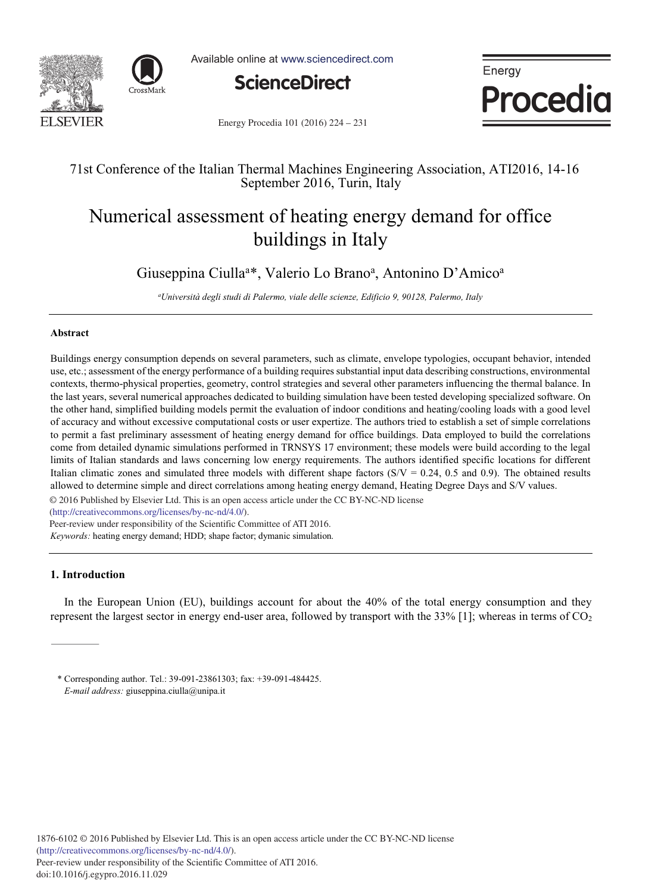



Available online at www.sciencedirect.com



Energy Procedia

Energy Procedia 101 (2016) 224 - 231

### 71st Conference of the Italian Thermal Machines Engineering Association, ATI2016, 14-16 September 2016, Turin, Italy

## Numerical assessment of heating energy demand for office buildings in Italy

Giuseppina Ciulla<sup>a\*</sup>, Valerio Lo Brano<sup>a</sup>, Antonino D'Amico<sup>a</sup>

*a Università degli studi di Palermo, viale delle scienze, Edificio 9, 90128, Palermo, Italy*

#### **Abstract**

Buildings energy consumption depends on several parameters, such as climate, envelope typologies, occupant behavior, intended use, etc.; assessment of the energy performance of a building requires substantial input data describing constructions, environmental contexts, thermo-physical properties, geometry, control strategies and several other parameters influencing the thermal balance. In the last years, several numerical approaches dedicated to building simulation have been tested developing specialized software. On the other hand, simplified building models permit the evaluation of indoor conditions and heating/cooling loads with a good level of accuracy and without excessive computational costs or user expertize. The authors tried to establish a set of simple correlations to permit a fast preliminary assessment of heating energy demand for office buildings. Data employed to build the correlations come from detailed dynamic simulations performed in TRNSYS 17 environment; these models were build according to the legal limits of Italian standards and laws concerning low energy requirements. The authors identified specific locations for different Italian climatic zones and simulated three models with different shape factors  $(S/V = 0.24, 0.5, 0.5)$ . The obtained results allowed to determine simple and direct correlations among heating energy demand, Heating Degree Days and S/V values.

© 2016 Published by Elsevier Ltd. This is an open access article under the CC BY-NC-ND license

(http://creativecommons.org/licenses/by-nc-nd/4.0/).

Peer-review under responsibility of the Scientific Committee of ATI 2016.

*Keywords:* heating energy demand; HDD; shape factor; dymanic simulation.

#### **1. Introduction**

In the European Union (EU), buildings account for about the 40% of the total energy consumption and they represent the largest sector in energy end-user area, followed by transport with the  $33\%$  [1]; whereas in terms of CO<sub>2</sub>

\* Corresponding author. Tel.: 39-091-23861303; fax: +39-091-484425. *E-mail address:* giuseppina.ciulla@unipa.it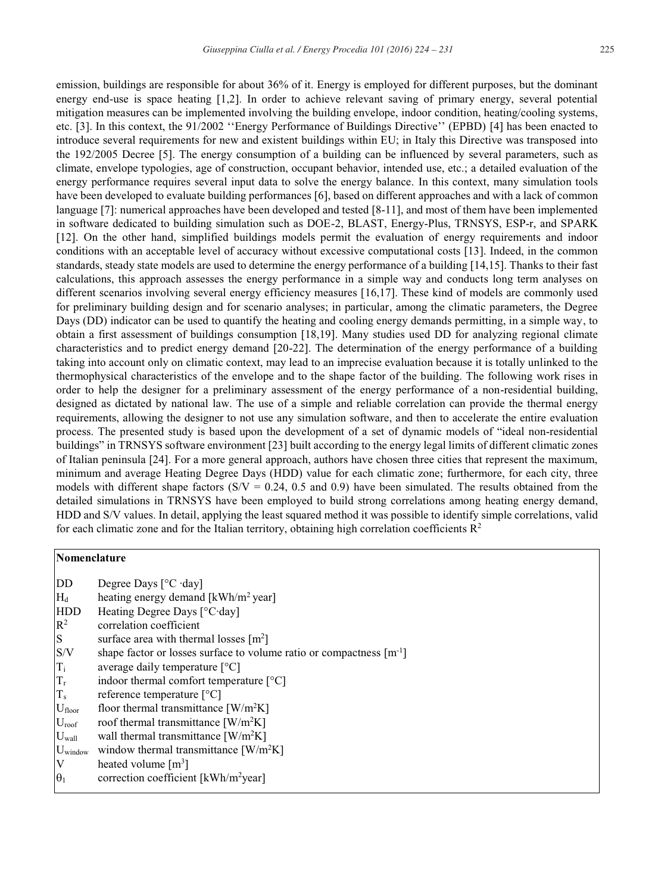emission, buildings are responsible for about 36% of it. Energy is employed for different purposes, but the dominant energy end-use is space heating [1,2]. In order to achieve relevant saving of primary energy, several potential mitigation measures can be implemented involving the building envelope, indoor condition, heating/cooling systems, etc. [3]. In this context, the 91/2002 ''Energy Performance of Buildings Directive'' (EPBD) [4] has been enacted to introduce several requirements for new and existent buildings within EU; in Italy this Directive was transposed into the 192/2005 Decree [5]. The energy consumption of a building can be influenced by several parameters, such as climate, envelope typologies, age of construction, occupant behavior, intended use, etc.; a detailed evaluation of the energy performance requires several input data to solve the energy balance. In this context, many simulation tools have been developed to evaluate building performances [6], based on different approaches and with a lack of common language [7]: numerical approaches have been developed and tested [8-11], and most of them have been implemented in software dedicated to building simulation such as DOE-2, BLAST, Energy-Plus, TRNSYS, ESP-r, and SPARK [12]. On the other hand, simplified buildings models permit the evaluation of energy requirements and indoor conditions with an acceptable level of accuracy without excessive computational costs [13]. Indeed, in the common standards, steady state models are used to determine the energy performance of a building [14,15]. Thanks to their fast calculations, this approach assesses the energy performance in a simple way and conducts long term analyses on different scenarios involving several energy efficiency measures [16,17]. These kind of models are commonly used for preliminary building design and for scenario analyses; in particular, among the climatic parameters, the Degree Days (DD) indicator can be used to quantify the heating and cooling energy demands permitting, in a simple way, to obtain a first assessment of buildings consumption [18,19]. Many studies used DD for analyzing regional climate characteristics and to predict energy demand [20-22]. The determination of the energy performance of a building taking into account only on climatic context, may lead to an imprecise evaluation because it is totally unlinked to the thermophysical characteristics of the envelope and to the shape factor of the building. The following work rises in order to help the designer for a preliminary assessment of the energy performance of a non-residential building, designed as dictated by national law. The use of a simple and reliable correlation can provide the thermal energy requirements, allowing the designer to not use any simulation software, and then to accelerate the entire evaluation process. The presented study is based upon the development of a set of dynamic models of "ideal non-residential buildings" in TRNSYS software environment [23] built according to the energy legal limits of different climatic zones of Italian peninsula [24]. For a more general approach, authors have chosen three cities that represent the maximum, minimum and average Heating Degree Days (HDD) value for each climatic zone; furthermore, for each city, three models with different shape factors  $(S/V = 0.24, 0.5, 0.5)$  have been simulated. The results obtained from the detailed simulations in TRNSYS have been employed to build strong correlations among heating energy demand, HDD and S/V values. In detail, applying the least squared method it was possible to identify simple correlations, valid for each climatic zone and for the Italian territory, obtaining high correlation coefficients  $\mathbb{R}^2$ 

#### **Nomenclature**

| DD                | Degree Days $[°C \cdot day]$                                             |
|-------------------|--------------------------------------------------------------------------|
| $H_d$             | heating energy demand [kWh/m <sup>2</sup> year]                          |
| <b>HDD</b>        | Heating Degree Days [°C·day]                                             |
| $R^2$             | correlation coefficient                                                  |
| <sub>S</sub>      | surface area with thermal losses $[m^2]$                                 |
| S/V               | shape factor or losses surface to volume ratio or compactness $[m^{-1}]$ |
| $T_i$             | average daily temperature $[°C]$                                         |
| $T_r$             | indoor thermal comfort temperature $[°C]$                                |
| $T_{s}$           | reference temperature $[^{\circ}C]$                                      |
| $U_{floor}$       | floor thermal transmittance $\left[ W/m^2K \right]$                      |
| $U_{\text{roof}}$ | roof thermal transmittance $\left[ W/m^2K \right]$                       |
| $U_{wall}$        | wall thermal transmittance $\left[ W/m^2K \right]$                       |
| $U_{window}$      | window thermal transmittance $\text{[W/m$^2$K]}$                         |
| V                 | heated volume $\lceil m^3 \rceil$                                        |
| $\theta_1$        | correction coefficient [kWh/m <sup>2</sup> year]                         |